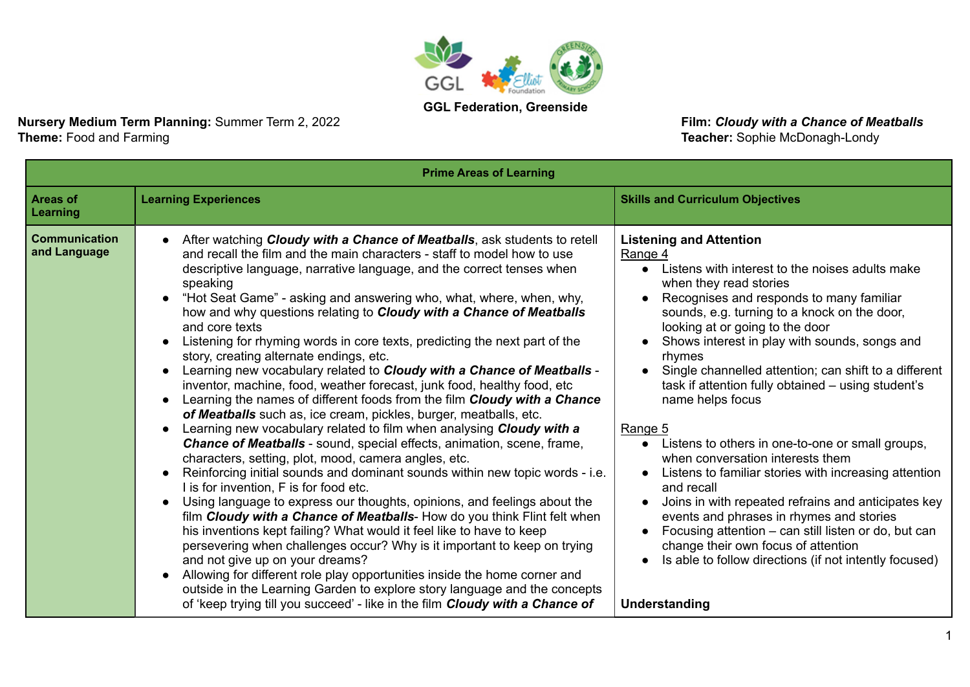

**Nursery Medium Term Planning:** Summer Term 2, 2022 **Film: Cloudy with a Chance of Meatballs**<br> **Theme:** Food and Farming<br> **Theme:** Food and Farming

Teacher: Sophie McDonagh-Londy

| <b>Prime Areas of Learning</b>       |                                                                                                                                                                                                                                                                                                                                                                                                                                                                                                                                                                                                                                                                                                                                                                                                                                                                                                                                                                                                                                                                                                                                                                                                                                                                                                                                                                                                                                                                                                                                                                                                                                                                                                                                                                                                                            |                                                                                                                                                                                                                                                                                                                                                                                                                                                                                                                                                                                                                                                                                                                                                                                                                                                                                                            |
|--------------------------------------|----------------------------------------------------------------------------------------------------------------------------------------------------------------------------------------------------------------------------------------------------------------------------------------------------------------------------------------------------------------------------------------------------------------------------------------------------------------------------------------------------------------------------------------------------------------------------------------------------------------------------------------------------------------------------------------------------------------------------------------------------------------------------------------------------------------------------------------------------------------------------------------------------------------------------------------------------------------------------------------------------------------------------------------------------------------------------------------------------------------------------------------------------------------------------------------------------------------------------------------------------------------------------------------------------------------------------------------------------------------------------------------------------------------------------------------------------------------------------------------------------------------------------------------------------------------------------------------------------------------------------------------------------------------------------------------------------------------------------------------------------------------------------------------------------------------------------|------------------------------------------------------------------------------------------------------------------------------------------------------------------------------------------------------------------------------------------------------------------------------------------------------------------------------------------------------------------------------------------------------------------------------------------------------------------------------------------------------------------------------------------------------------------------------------------------------------------------------------------------------------------------------------------------------------------------------------------------------------------------------------------------------------------------------------------------------------------------------------------------------------|
| <b>Areas of</b><br>Learning          | <b>Learning Experiences</b>                                                                                                                                                                                                                                                                                                                                                                                                                                                                                                                                                                                                                                                                                                                                                                                                                                                                                                                                                                                                                                                                                                                                                                                                                                                                                                                                                                                                                                                                                                                                                                                                                                                                                                                                                                                                | <b>Skills and Curriculum Objectives</b>                                                                                                                                                                                                                                                                                                                                                                                                                                                                                                                                                                                                                                                                                                                                                                                                                                                                    |
| <b>Communication</b><br>and Language | After watching <b>Cloudy with a Chance of Meatballs</b> , ask students to retell<br>and recall the film and the main characters - staff to model how to use<br>descriptive language, narrative language, and the correct tenses when<br>speaking<br>"Hot Seat Game" - asking and answering who, what, where, when, why,<br>$\bullet$<br>how and why questions relating to Cloudy with a Chance of Meatballs<br>and core texts<br>Listening for rhyming words in core texts, predicting the next part of the<br>story, creating alternate endings, etc.<br>Learning new vocabulary related to Cloudy with a Chance of Meatballs -<br>$\bullet$<br>inventor, machine, food, weather forecast, junk food, healthy food, etc<br>Learning the names of different foods from the film Cloudy with a Chance<br>$\bullet$<br>of Meatballs such as, ice cream, pickles, burger, meatballs, etc.<br>Learning new vocabulary related to film when analysing Cloudy with a<br>Chance of Meatballs - sound, special effects, animation, scene, frame,<br>characters, setting, plot, mood, camera angles, etc.<br>Reinforcing initial sounds and dominant sounds within new topic words - i.e.<br>I is for invention, F is for food etc.<br>Using language to express our thoughts, opinions, and feelings about the<br>film Cloudy with a Chance of Meatballs- How do you think Flint felt when<br>his inventions kept failing? What would it feel like to have to keep<br>persevering when challenges occur? Why is it important to keep on trying<br>and not give up on your dreams?<br>Allowing for different role play opportunities inside the home corner and<br>outside in the Learning Garden to explore story language and the concepts<br>of 'keep trying till you succeed' - like in the film <b>Cloudy with a Chance of</b> | <b>Listening and Attention</b><br>Range 4<br>Listens with interest to the noises adults make<br>when they read stories<br>Recognises and responds to many familiar<br>sounds, e.g. turning to a knock on the door,<br>looking at or going to the door<br>Shows interest in play with sounds, songs and<br>rhymes<br>Single channelled attention; can shift to a different<br>task if attention fully obtained – using student's<br>name helps focus<br>Range 5<br>Listens to others in one-to-one or small groups,<br>when conversation interests them<br>Listens to familiar stories with increasing attention<br>and recall<br>Joins in with repeated refrains and anticipates key<br>events and phrases in rhymes and stories<br>Focusing attention - can still listen or do, but can<br>change their own focus of attention<br>Is able to follow directions (if not intently focused)<br>Understanding |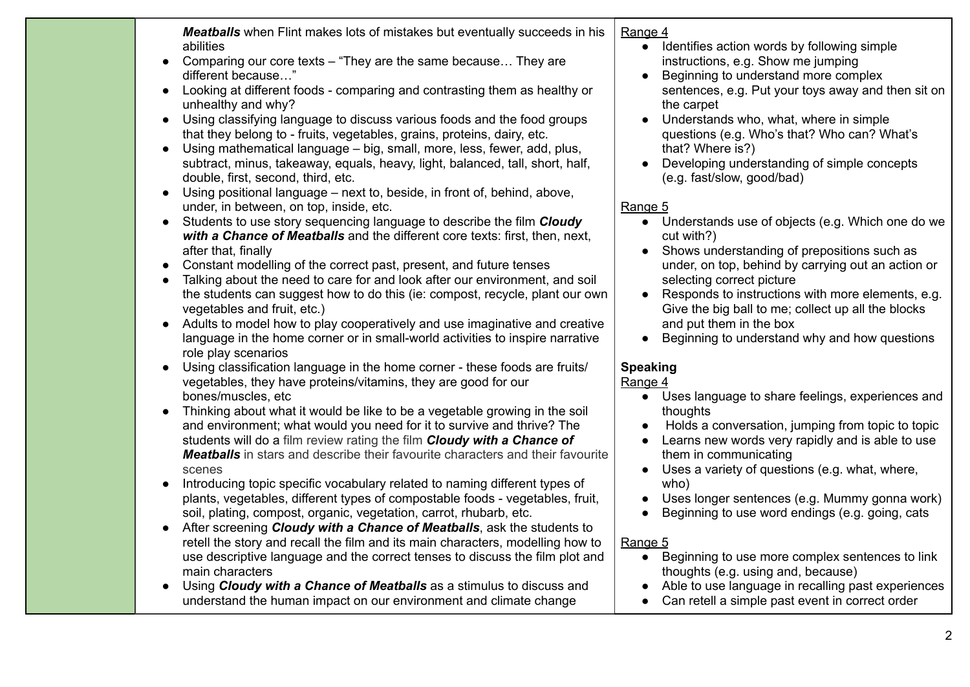*Meatballs* when Flint makes lots of mistakes but eventually succeeds in his abilities

- Comparing our core texts "They are the same because... They are different because…"
- Looking at different foods comparing and contrasting them as healthy or unhealthy and why?
- Using classifying language to discuss various foods and the food groups that they belong to - fruits, vegetables, grains, proteins, dairy, etc.
- Using mathematical language big, small, more, less, fewer, add, plus, subtract, minus, takeaway, equals, heavy, light, balanced, tall, short, half, double, first, second, third, etc.
- Using positional language next to, beside, in front of, behind, above, under, in between, on top, inside, etc.
- Students to use story sequencing language to describe the film *Cloudy with a Chance of Meatballs* and the different core texts: first, then, next, after that, finally
- Constant modelling of the correct past, present, and future tenses
- Talking about the need to care for and look after our environment, and soil the students can suggest how to do this (ie: compost, recycle, plant our own vegetables and fruit, etc.)
- Adults to model how to play cooperatively and use imaginative and creative language in the home corner or in small-world activities to inspire narrative role play scenarios
- Using classification language in the home corner these foods are fruits/ vegetables, they have proteins/vitamins, they are good for our bones/muscles, etc
- Thinking about what it would be like to be a vegetable growing in the soil and environment; what would you need for it to survive and thrive? The students will do a film review rating the film *Cloudy with a Chance of Meatballs* in stars and describe their favourite characters and their favourite scenes
- Introducing topic specific vocabulary related to naming different types of plants, vegetables, different types of compostable foods - vegetables, fruit, soil, plating, compost, organic, vegetation, carrot, rhubarb, etc.
- After screening *Cloudy with a Chance of Meatballs*, ask the students to retell the story and recall the film and its main characters, modelling how to use descriptive language and the correct tenses to discuss the film plot and main characters
- Using *Cloudy with a Chance of Meatballs* as a stimulus to discuss and understand the human impact on our environment and climate change

#### Range 4

- Identifies action words by following simple instructions, e.g. Show me jumping
- Beginning to understand more complex sentences, e.g. Put your toys away and then sit on the carpet
- Understands who, what, where in simple questions (e.g. Who's that? Who can? What's that? Where is?)
- Developing understanding of simple concepts (e.g. fast/slow, good/bad)

### Range 5

- Understands use of objects (e.g. Which one do we cut with?)
- Shows understanding of prepositions such as under, on top, behind by carrying out an action or selecting correct picture
- Responds to instructions with more elements, e.g. Give the big ball to me; collect up all the blocks and put them in the box
- Beginning to understand why and how questions

# **Speaking**

### Range 4

- Uses language to share feelings, experiences and thoughts
- Holds a conversation, jumping from topic to topic
- Learns new words very rapidly and is able to use them in communicating
- Uses a variety of questions (e.g. what, where, who)
- Uses longer sentences (e.g. Mummy gonna work)
- Beginning to use word endings (e.g. going, cats

- Beginning to use more complex sentences to link thoughts (e.g. using and, because)
- Able to use language in recalling past experiences
- Can retell a simple past event in correct order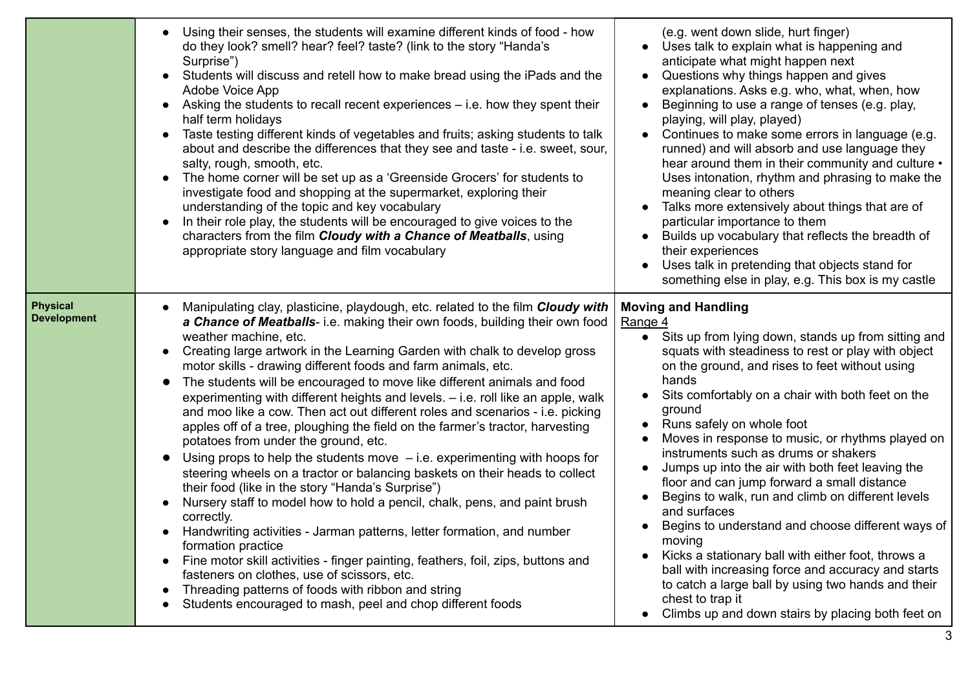|                                       | Using their senses, the students will examine different kinds of food - how<br>do they look? smell? hear? feel? taste? (link to the story "Handa's<br>Surprise")<br>Students will discuss and retell how to make bread using the iPads and the<br>Adobe Voice App<br>Asking the students to recall recent experiences – i.e. how they spent their<br>$\bullet$<br>half term holidays<br>Taste testing different kinds of vegetables and fruits; asking students to talk<br>$\bullet$<br>about and describe the differences that they see and taste - i.e. sweet, sour,<br>salty, rough, smooth, etc.<br>The home corner will be set up as a 'Greenside Grocers' for students to<br>investigate food and shopping at the supermarket, exploring their<br>understanding of the topic and key vocabulary<br>In their role play, the students will be encouraged to give voices to the<br>characters from the film Cloudy with a Chance of Meatballs, using<br>appropriate story language and film vocabulary                                                                                                                                                                                                                                                                                                                                                                                                                              | (e.g. went down slide, hurt finger)<br>Uses talk to explain what is happening and<br>anticipate what might happen next<br>Questions why things happen and gives<br>explanations. Asks e.g. who, what, when, how<br>Beginning to use a range of tenses (e.g. play,<br>$\bullet$<br>playing, will play, played)<br>Continues to make some errors in language (e.g.<br>$\bullet$<br>runned) and will absorb and use language they<br>hear around them in their community and culture •<br>Uses intonation, rhythm and phrasing to make the<br>meaning clear to others<br>Talks more extensively about things that are of<br>particular importance to them<br>Builds up vocabulary that reflects the breadth of<br>$\bullet$<br>their experiences<br>Uses talk in pretending that objects stand for<br>something else in play, e.g. This box is my castle                                                             |
|---------------------------------------|----------------------------------------------------------------------------------------------------------------------------------------------------------------------------------------------------------------------------------------------------------------------------------------------------------------------------------------------------------------------------------------------------------------------------------------------------------------------------------------------------------------------------------------------------------------------------------------------------------------------------------------------------------------------------------------------------------------------------------------------------------------------------------------------------------------------------------------------------------------------------------------------------------------------------------------------------------------------------------------------------------------------------------------------------------------------------------------------------------------------------------------------------------------------------------------------------------------------------------------------------------------------------------------------------------------------------------------------------------------------------------------------------------------------------------------|-------------------------------------------------------------------------------------------------------------------------------------------------------------------------------------------------------------------------------------------------------------------------------------------------------------------------------------------------------------------------------------------------------------------------------------------------------------------------------------------------------------------------------------------------------------------------------------------------------------------------------------------------------------------------------------------------------------------------------------------------------------------------------------------------------------------------------------------------------------------------------------------------------------------|
| <b>Physical</b><br><b>Development</b> | Manipulating clay, plasticine, playdough, etc. related to the film Cloudy with<br>a Chance of Meatballs- i.e. making their own foods, building their own food<br>weather machine, etc.<br>Creating large artwork in the Learning Garden with chalk to develop gross<br>motor skills - drawing different foods and farm animals, etc.<br>The students will be encouraged to move like different animals and food<br>$\bullet$<br>experimenting with different heights and levels. - i.e. roll like an apple, walk<br>and moo like a cow. Then act out different roles and scenarios - i.e. picking<br>apples off of a tree, ploughing the field on the farmer's tractor, harvesting<br>potatoes from under the ground, etc.<br>Using props to help the students move $-$ i.e. experimenting with hoops for<br>$\bullet$<br>steering wheels on a tractor or balancing baskets on their heads to collect<br>their food (like in the story "Handa's Surprise")<br>Nursery staff to model how to hold a pencil, chalk, pens, and paint brush<br>correctly.<br>Handwriting activities - Jarman patterns, letter formation, and number<br>formation practice<br>Fine motor skill activities - finger painting, feathers, foil, zips, buttons and<br>$\bullet$<br>fasteners on clothes, use of scissors, etc.<br>Threading patterns of foods with ribbon and string<br>$\bullet$<br>Students encouraged to mash, peel and chop different foods | <b>Moving and Handling</b><br>Range 4<br>Sits up from lying down, stands up from sitting and<br>$\bullet$<br>squats with steadiness to rest or play with object<br>on the ground, and rises to feet without using<br>hands<br>Sits comfortably on a chair with both feet on the<br>ground<br>Runs safely on whole foot<br>$\bullet$<br>Moves in response to music, or rhythms played on<br>instruments such as drums or shakers<br>Jumps up into the air with both feet leaving the<br>floor and can jump forward a small distance<br>Begins to walk, run and climb on different levels<br>and surfaces<br>Begins to understand and choose different ways of<br>moving<br>Kicks a stationary ball with either foot, throws a<br>ball with increasing force and accuracy and starts<br>to catch a large ball by using two hands and their<br>chest to trap it<br>Climbs up and down stairs by placing both feet on |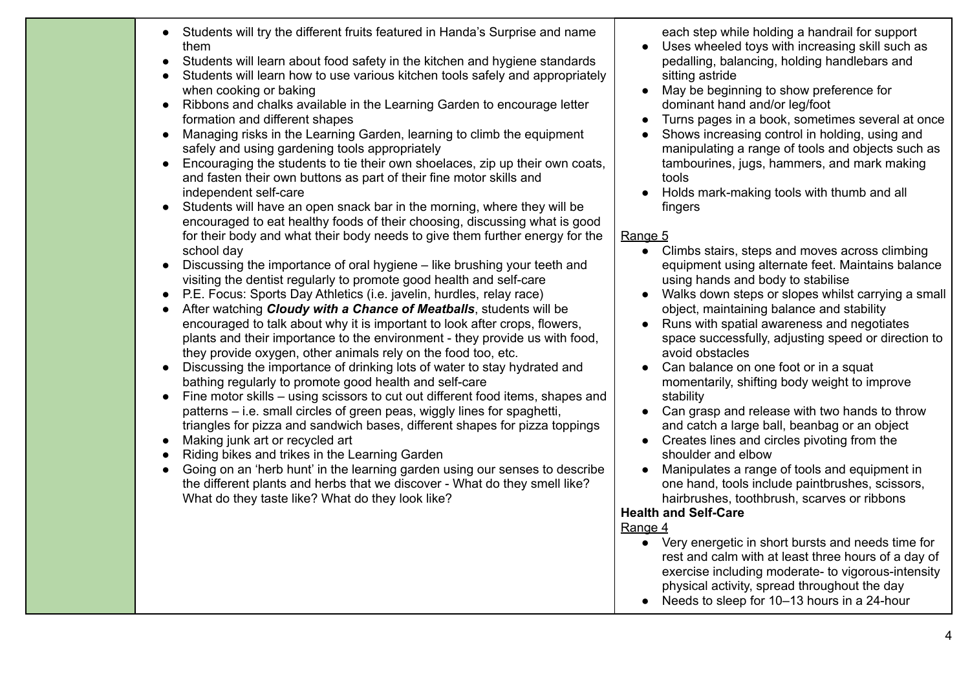- Students will try the different fruits featured in Handa's Surprise and name them
- Students will learn about food safety in the kitchen and hygiene standards
- Students will learn how to use various kitchen tools safely and appropriately when cooking or baking
- Ribbons and chalks available in the Learning Garden to encourage letter formation and different shapes
- Managing risks in the Learning Garden, learning to climb the equipment safely and using gardening tools appropriately
- Encouraging the students to tie their own shoelaces, zip up their own coats, and fasten their own buttons as part of their fine motor skills and independent self-care
- Students will have an open snack bar in the morning, where they will be encouraged to eat healthy foods of their choosing, discussing what is good for their body and what their body needs to give them further energy for the school day
- Discussing the importance of oral hygiene like brushing your teeth and visiting the dentist regularly to promote good health and self-care
- P.E. Focus: Sports Day Athletics (i.e. javelin, hurdles, relay race)
- After watching *Cloudy with a Chance of Meatballs*, students will be encouraged to talk about why it is important to look after crops, flowers, plants and their importance to the environment - they provide us with food, they provide oxygen, other animals rely on the food too, etc.
- Discussing the importance of drinking lots of water to stay hydrated and bathing regularly to promote good health and self-care
- Fine motor skills using scissors to cut out different food items, shapes and patterns – i.e. small circles of green peas, wiggly lines for spaghetti, triangles for pizza and sandwich bases, different shapes for pizza toppings
- Making junk art or recycled art
- Riding bikes and trikes in the Learning Garden
- Going on an 'herb hunt' in the learning garden using our senses to describe the different plants and herbs that we discover - What do they smell like? What do they taste like? What do they look like?

each step while holding a handrail for support

- Uses wheeled toys with increasing skill such as pedalling, balancing, holding handlebars and sitting astride
- May be beginning to show preference for dominant hand and/or leg/foot
- Turns pages in a book, sometimes several at once
- Shows increasing control in holding, using and manipulating a range of tools and objects such as tambourines, jugs, hammers, and mark making tools
- Holds mark-making tools with thumb and all fingers

#### Range 5

- Climbs stairs, steps and moves across climbing equipment using alternate feet. Maintains balance using hands and body to stabilise
- Walks down steps or slopes whilst carrying a small object, maintaining balance and stability
- Runs with spatial awareness and negotiates space successfully, adjusting speed or direction to avoid obstacles
- Can balance on one foot or in a squat momentarily, shifting body weight to improve stability
- Can grasp and release with two hands to throw and catch a large ball, beanbag or an object
- Creates lines and circles pivoting from the shoulder and elbow
- Manipulates a range of tools and equipment in one hand, tools include paintbrushes, scissors, hairbrushes, toothbrush, scarves or ribbons

### **Health and Self-Care**

- Very energetic in short bursts and needs time for rest and calm with at least three hours of a day of exercise including moderate- to vigorous-intensity physical activity, spread throughout the day
- Needs to sleep for 10–13 hours in a 24-hour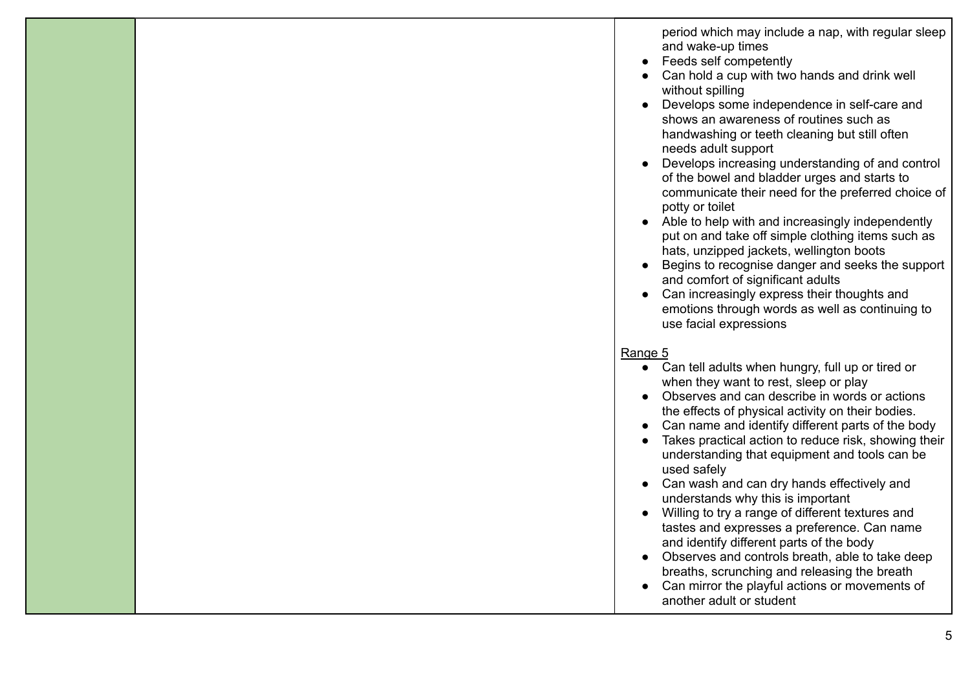period which may include a nap, with regular sleep and wake-up times

- Feeds self competently
- Can hold a cup with two hands and drink well without spilling
- Develops some independence in self-care and shows an awareness of routines such as handwashing or teeth cleaning but still often needs adult support
- Develops increasing understanding of and control of the bowel and bladder urges and starts to communicate their need for the preferred choice of potty or toilet
- Able to help with and increasingly independently put on and take off simple clothing items such as hats, unzipped jackets, wellington boots
- Begins to recognise danger and seeks the support and comfort of significant adults
- Can increasingly express their thoughts and emotions through words as well as continuing to use facial expressions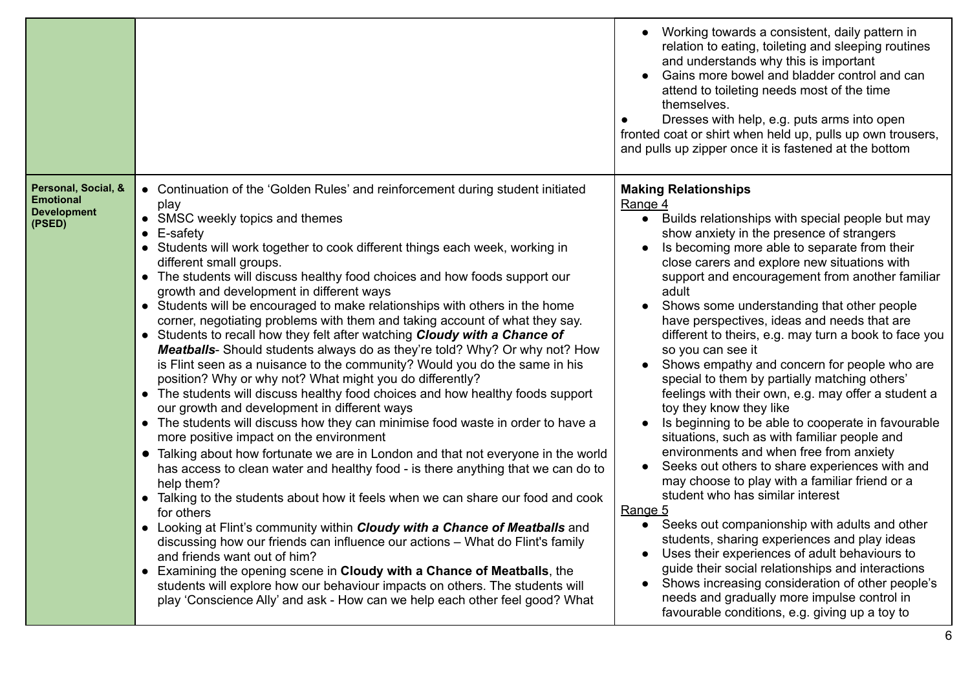|                                                                         |                                                                                                                                                                                                                                                                                                                                                                                                                                                                                                                                                                                                                                                                                                                                                                                                                                                                                                                                                                                                                                                                                                                                                                                                                                                                                                                                                                                                                                                                                                                                                                                                                                                                                                                                                                                                                                                                                        | Working towards a consistent, daily pattern in<br>relation to eating, toileting and sleeping routines<br>and understands why this is important<br>Gains more bowel and bladder control and can<br>attend to toileting needs most of the time<br>themselves.<br>Dresses with help, e.g. puts arms into open<br>fronted coat or shirt when held up, pulls up own trousers,<br>and pulls up zipper once it is fastened at the bottom                                                                                                                                                                                                                                                                                                                                                                                                                                                                                                                                                                                                                                                                                                                                                                                                                                                                                                                           |
|-------------------------------------------------------------------------|----------------------------------------------------------------------------------------------------------------------------------------------------------------------------------------------------------------------------------------------------------------------------------------------------------------------------------------------------------------------------------------------------------------------------------------------------------------------------------------------------------------------------------------------------------------------------------------------------------------------------------------------------------------------------------------------------------------------------------------------------------------------------------------------------------------------------------------------------------------------------------------------------------------------------------------------------------------------------------------------------------------------------------------------------------------------------------------------------------------------------------------------------------------------------------------------------------------------------------------------------------------------------------------------------------------------------------------------------------------------------------------------------------------------------------------------------------------------------------------------------------------------------------------------------------------------------------------------------------------------------------------------------------------------------------------------------------------------------------------------------------------------------------------------------------------------------------------------------------------------------------------|-------------------------------------------------------------------------------------------------------------------------------------------------------------------------------------------------------------------------------------------------------------------------------------------------------------------------------------------------------------------------------------------------------------------------------------------------------------------------------------------------------------------------------------------------------------------------------------------------------------------------------------------------------------------------------------------------------------------------------------------------------------------------------------------------------------------------------------------------------------------------------------------------------------------------------------------------------------------------------------------------------------------------------------------------------------------------------------------------------------------------------------------------------------------------------------------------------------------------------------------------------------------------------------------------------------------------------------------------------------|
| Personal, Social, &<br><b>Emotional</b><br><b>Development</b><br>(PSED) | • Continuation of the 'Golden Rules' and reinforcement during student initiated<br>play<br>• SMSC weekly topics and themes<br>$\bullet$ E-safety<br>• Students will work together to cook different things each week, working in<br>different small groups.<br>• The students will discuss healthy food choices and how foods support our<br>growth and development in different ways<br>• Students will be encouraged to make relationships with others in the home<br>corner, negotiating problems with them and taking account of what they say.<br>• Students to recall how they felt after watching Cloudy with a Chance of<br>Meatballs- Should students always do as they're told? Why? Or why not? How<br>is Flint seen as a nuisance to the community? Would you do the same in his<br>position? Why or why not? What might you do differently?<br>• The students will discuss healthy food choices and how healthy foods support<br>our growth and development in different ways<br>• The students will discuss how they can minimise food waste in order to have a<br>more positive impact on the environment<br>Talking about how fortunate we are in London and that not everyone in the world<br>$\bullet$<br>has access to clean water and healthy food - is there anything that we can do to<br>help them?<br>Talking to the students about how it feels when we can share our food and cook<br>for others<br>• Looking at Flint's community within <i>Cloudy with a Chance of Meatballs</i> and<br>discussing how our friends can influence our actions – What do Flint's family<br>and friends want out of him?<br>Examining the opening scene in Cloudy with a Chance of Meatballs, the<br>$\bullet$<br>students will explore how our behaviour impacts on others. The students will<br>play 'Conscience Ally' and ask - How can we help each other feel good? What | <b>Making Relationships</b><br>Range 4<br>Builds relationships with special people but may<br>$\bullet$<br>show anxiety in the presence of strangers<br>Is becoming more able to separate from their<br>close carers and explore new situations with<br>support and encouragement from another familiar<br>adult<br>Shows some understanding that other people<br>have perspectives, ideas and needs that are<br>different to theirs, e.g. may turn a book to face you<br>so you can see it<br>Shows empathy and concern for people who are<br>special to them by partially matching others'<br>feelings with their own, e.g. may offer a student a<br>toy they know they like<br>Is beginning to be able to cooperate in favourable<br>situations, such as with familiar people and<br>environments and when free from anxiety<br>Seeks out others to share experiences with and<br>may choose to play with a familiar friend or a<br>student who has similar interest<br>Range 5<br>Seeks out companionship with adults and other<br>$\bullet$<br>students, sharing experiences and play ideas<br>Uses their experiences of adult behaviours to<br>guide their social relationships and interactions<br>Shows increasing consideration of other people's<br>needs and gradually more impulse control in<br>favourable conditions, e.g. giving up a toy to |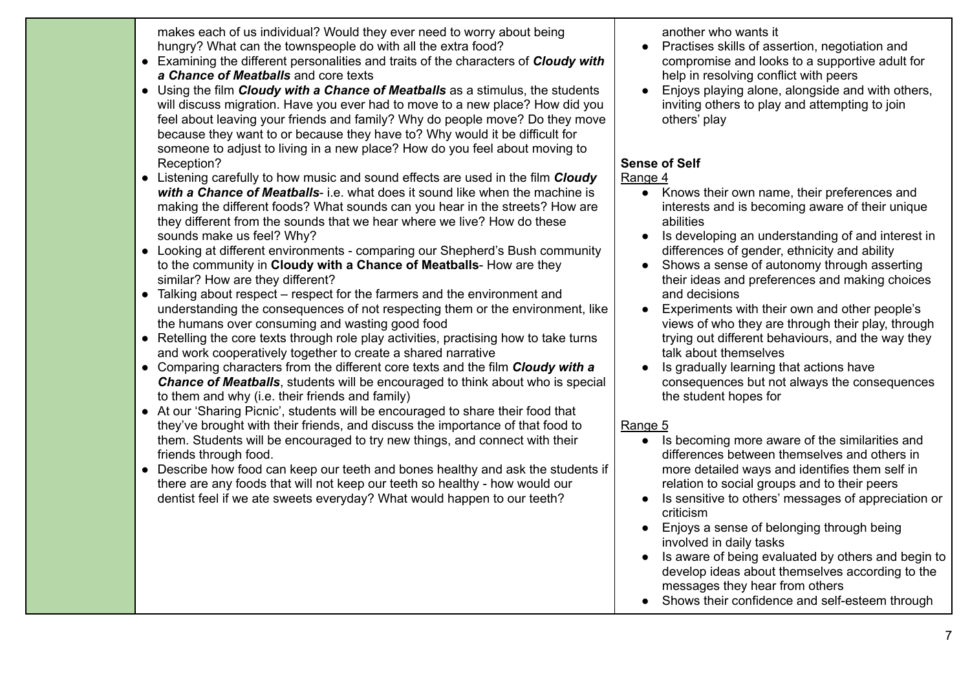makes each of us individual? Would they ever need to worry about being hungry? What can the townspeople do with all the extra food?

- Examining the different personalities and traits of the characters of *Cloudy with a Chance of Meatballs* and core texts
- Using the film *Cloudy with a Chance of Meatballs* as a stimulus, the students will discuss migration. Have you ever had to move to a new place? How did you feel about leaving your friends and family? Why do people move? Do they move because they want to or because they have to? Why would it be difficult for someone to adjust to living in a new place? How do you feel about moving to Reception?
- Listening carefully to how music and sound effects are used in the film *Cloudy with a Chance of Meatballs*- i.e. what does it sound like when the machine is making the different foods? What sounds can you hear in the streets? How are they different from the sounds that we hear where we live? How do these sounds make us feel? Why?
- Looking at different environments comparing our Shepherd's Bush community to the community in **Cloudy with a Chance of Meatballs**- How are they similar? How are they different?
- Talking about respect respect for the farmers and the environment and understanding the consequences of not respecting them or the environment, like the humans over consuming and wasting good food
- Retelling the core texts through role play activities, practising how to take turns and work cooperatively together to create a shared narrative
- Comparing characters from the different core texts and the film *Cloudy with a Chance of Meatballs*, students will be encouraged to think about who is special to them and why (i.e. their friends and family)
- At our 'Sharing Picnic', students will be encouraged to share their food that they've brought with their friends, and discuss the importance of that food to them. Students will be encouraged to try new things, and connect with their friends through food.
- Describe how food can keep our teeth and bones healthy and ask the students if there are any foods that will not keep our teeth so healthy - how would our dentist feel if we ate sweets everyday? What would happen to our teeth?

another who wants it

- Practises skills of assertion, negotiation and compromise and looks to a supportive adult for help in resolving conflict with peers
- Enjoys playing alone, alongside and with others, inviting others to play and attempting to join others' play

# **Sense of Self**

### Range 4

- Knows their own name, their preferences and interests and is becoming aware of their unique abilities
- Is developing an understanding of and interest in differences of gender, ethnicity and ability
- Shows a sense of autonomy through asserting their ideas and preferences and making choices and decisions
- Experiments with their own and other people's views of who they are through their play, through trying out different behaviours, and the way they talk about themselves
- Is gradually learning that actions have consequences but not always the consequences the student hopes for

- Is becoming more aware of the similarities and differences between themselves and others in more detailed ways and identifies them self in relation to social groups and to their peers
- Is sensitive to others' messages of appreciation or criticism
- Enjoys a sense of belonging through being involved in daily tasks
- Is aware of being evaluated by others and begin to develop ideas about themselves according to the messages they hear from others
- Shows their confidence and self-esteem through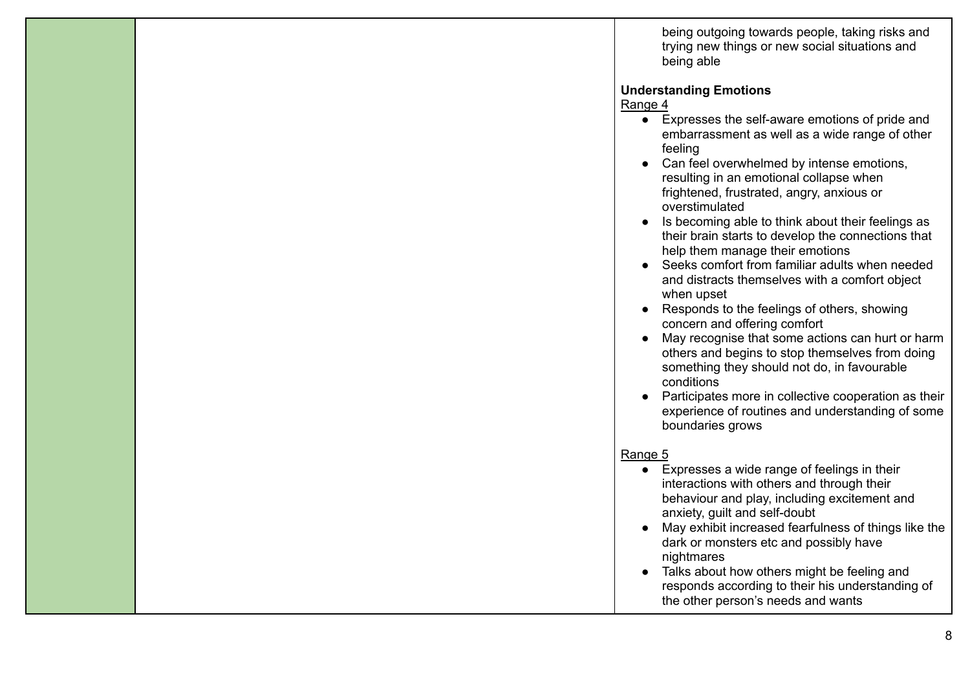being outgoing towards people, taking risks and trying new things or new social situations and being able

#### **Understanding Emotions**

Range 4

- Expresses the self-aware emotions of pride and embarrassment as well as a wide range of other feeling
- Can feel overwhelmed by intense emotions, resulting in an emotional collapse when frightened, frustrated, angry, anxious or overstimulated
- Is becoming able to think about their feelings as their brain starts to develop the connections that help them manage their emotions
- Seeks comfort from familiar adults when needed and distracts themselves with a comfort object when upset
- Responds to the feelings of others, showing concern and offering comfort
- May recognise that some actions can hurt or harm others and begins to stop themselves from doing something they should not do, in favourable conditions
- Participates more in collective cooperation as their experience of routines and understanding of some boundaries grows

#### Range 5

 $\bullet$  Expresses a wide range of feelings in their interactions with others and through their behaviour and play, including excitement and anxiety, guilt and self-doubt ● May exhibit increased fearfulness of things like the dark or monsters etc and possibly have nightmares ● Talks about how others might be feeling and responds according to their his understanding of the other person's needs and wants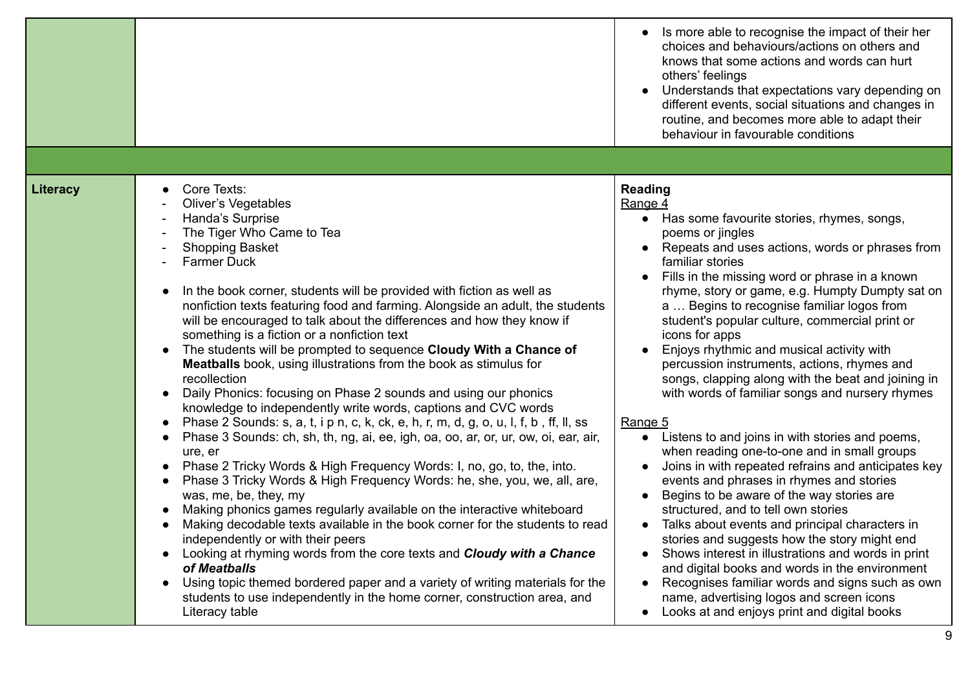|                 |                                                                                                                                                                                                                                                                                                                                                                                                                                                                                                                                                                                                                                                                                                                                                                                                                                                                                                                                                                                                                                                                                                                                                                                                                                                                                                                                                                                                                                                                                                                                                                                                                                                                                                  | Is more able to recognise the impact of their her<br>choices and behaviours/actions on others and<br>knows that some actions and words can hurt<br>others' feelings<br>Understands that expectations vary depending on<br>different events, social situations and changes in<br>routine, and becomes more able to adapt their<br>behaviour in favourable conditions                                                                                                                                                                                                                                                                                                                                                                                                                                                                                                                                                                                                                                                                                                                                                                                                                                                                                               |
|-----------------|--------------------------------------------------------------------------------------------------------------------------------------------------------------------------------------------------------------------------------------------------------------------------------------------------------------------------------------------------------------------------------------------------------------------------------------------------------------------------------------------------------------------------------------------------------------------------------------------------------------------------------------------------------------------------------------------------------------------------------------------------------------------------------------------------------------------------------------------------------------------------------------------------------------------------------------------------------------------------------------------------------------------------------------------------------------------------------------------------------------------------------------------------------------------------------------------------------------------------------------------------------------------------------------------------------------------------------------------------------------------------------------------------------------------------------------------------------------------------------------------------------------------------------------------------------------------------------------------------------------------------------------------------------------------------------------------------|-------------------------------------------------------------------------------------------------------------------------------------------------------------------------------------------------------------------------------------------------------------------------------------------------------------------------------------------------------------------------------------------------------------------------------------------------------------------------------------------------------------------------------------------------------------------------------------------------------------------------------------------------------------------------------------------------------------------------------------------------------------------------------------------------------------------------------------------------------------------------------------------------------------------------------------------------------------------------------------------------------------------------------------------------------------------------------------------------------------------------------------------------------------------------------------------------------------------------------------------------------------------|
|                 |                                                                                                                                                                                                                                                                                                                                                                                                                                                                                                                                                                                                                                                                                                                                                                                                                                                                                                                                                                                                                                                                                                                                                                                                                                                                                                                                                                                                                                                                                                                                                                                                                                                                                                  |                                                                                                                                                                                                                                                                                                                                                                                                                                                                                                                                                                                                                                                                                                                                                                                                                                                                                                                                                                                                                                                                                                                                                                                                                                                                   |
| <b>Literacy</b> | Core Texts:<br>$\bullet$<br><b>Oliver's Vegetables</b><br>Handa's Surprise<br>The Tiger Who Came to Tea<br><b>Shopping Basket</b><br><b>Farmer Duck</b><br>In the book corner, students will be provided with fiction as well as<br>$\bullet$<br>nonfiction texts featuring food and farming. Alongside an adult, the students<br>will be encouraged to talk about the differences and how they know if<br>something is a fiction or a nonfiction text<br>The students will be prompted to sequence Cloudy With a Chance of<br>$\bullet$<br><b>Meatballs</b> book, using illustrations from the book as stimulus for<br>recollection<br>Daily Phonics: focusing on Phase 2 sounds and using our phonics<br>$\bullet$<br>knowledge to independently write words, captions and CVC words<br>Phase 2 Sounds: s, a, t, i p n, c, k, ck, e, h, r, m, d, g, o, u, l, f, b, ff, ll, ss<br>Phase 3 Sounds: ch, sh, th, ng, ai, ee, igh, oa, oo, ar, or, ur, ow, oi, ear, air,<br>$\bullet$<br>ure, er<br>Phase 2 Tricky Words & High Frequency Words: I, no, go, to, the, into.<br>$\bullet$<br>Phase 3 Tricky Words & High Frequency Words: he, she, you, we, all, are,<br>$\bullet$<br>was, me, be, they, my<br>Making phonics games regularly available on the interactive whiteboard<br>Making decodable texts available in the book corner for the students to read<br>$\bullet$<br>independently or with their peers<br>Looking at rhyming words from the core texts and <b>Cloudy with a Chance</b><br>of Meatballs<br>Using topic themed bordered paper and a variety of writing materials for the<br>students to use independently in the home corner, construction area, and<br>Literacy table | <b>Reading</b><br>Range 4<br>• Has some favourite stories, rhymes, songs,<br>poems or jingles<br>Repeats and uses actions, words or phrases from<br>familiar stories<br>Fills in the missing word or phrase in a known<br>rhyme, story or game, e.g. Humpty Dumpty sat on<br>a  Begins to recognise familiar logos from<br>student's popular culture, commercial print or<br>icons for apps<br>Enjoys rhythmic and musical activity with<br>percussion instruments, actions, rhymes and<br>songs, clapping along with the beat and joining in<br>with words of familiar songs and nursery rhymes<br>Range 5<br>Listens to and joins in with stories and poems,<br>when reading one-to-one and in small groups<br>Joins in with repeated refrains and anticipates key<br>events and phrases in rhymes and stories<br>Begins to be aware of the way stories are<br>structured, and to tell own stories<br>Talks about events and principal characters in<br>stories and suggests how the story might end<br>Shows interest in illustrations and words in print<br>and digital books and words in the environment<br>Recognises familiar words and signs such as own<br>name, advertising logos and screen icons<br>Looks at and enjoys print and digital books<br>9 |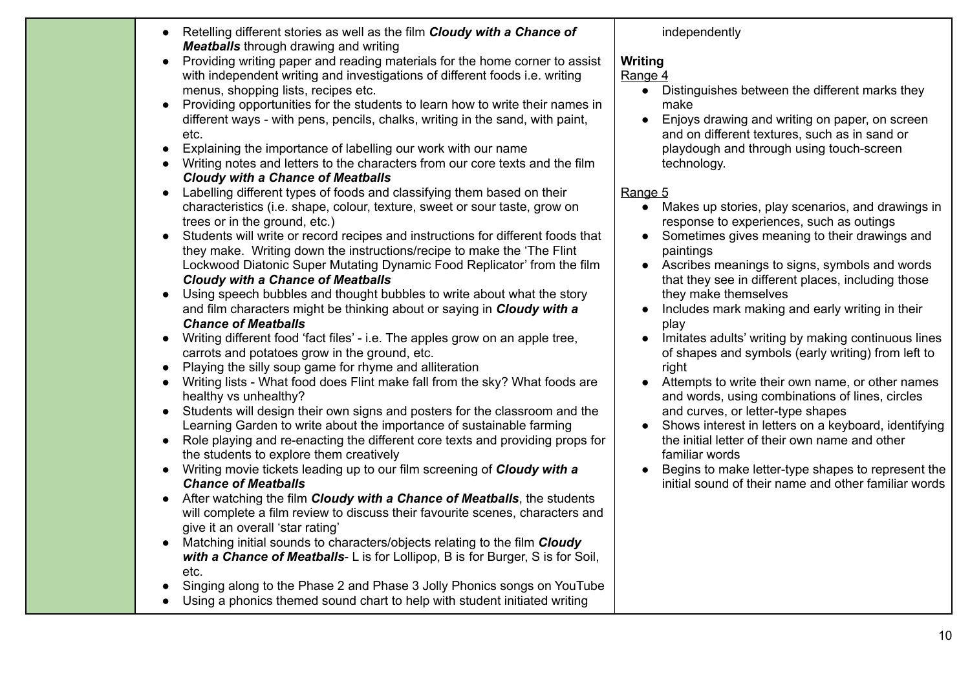| • Retelling different stories as well as the film <b>Cloudy with a Chance of</b> |
|----------------------------------------------------------------------------------|
| <b>Meatballs</b> through drawing and writing                                     |

- Providing writing paper and reading materials for the home corner to assist with independent writing and investigations of different foods i.e. writing menus, shopping lists, recipes etc.
- Providing opportunities for the students to learn how to write their names in different ways - with pens, pencils, chalks, writing in the sand, with paint, etc.
- Explaining the importance of labelling our work with our name
- Writing notes and letters to the characters from our core texts and the film *Cloudy with a Chance of Meatballs*
- Labelling different types of foods and classifying them based on their characteristics (i.e. shape, colour, texture, sweet or sour taste, grow on trees or in the ground, etc.)
- Students will write or record recipes and instructions for different foods that they make. Writing down the instructions/recipe to make the 'The Flint Lockwood Diatonic Super Mutating Dynamic Food Replicator' from the film *Cloudy with a Chance of Meatballs*
- Using speech bubbles and thought bubbles to write about what the story and film characters might be thinking about or saying in *Cloudy with a Chance of Meatballs*
- Writing different food 'fact files' i.e. The apples grow on an apple tree, carrots and potatoes grow in the ground, etc.
- Playing the silly soup game for rhyme and alliteration
- Writing lists What food does Flint make fall from the sky? What foods are healthy vs unhealthy?
- Students will design their own signs and posters for the classroom and the Learning Garden to write about the importance of sustainable farming
- Role playing and re-enacting the different core texts and providing props for the students to explore them creatively
- Writing movie tickets leading up to our film screening of *Cloudy with a Chance of Meatballs*
- *●* After watching the film *Cloudy with a Chance of Meatballs*, the students will complete a film review to discuss their favourite scenes, characters and give it an overall 'star rating'
- Matching initial sounds to characters/objects relating to the film *Cloudy with a Chance of Meatballs*- L is for Lollipop, B is for Burger, S is for Soil, etc.
- Singing along to the Phase 2 and Phase 3 Jolly Phonics songs on YouTube
- Using a phonics themed sound chart to help with student initiated writing

#### independently

### **Writing**

#### Range 4

- Distinguishes between the different marks they make
- Enjoys drawing and writing on paper, on screen and on different textures, such as in sand or playdough and through using touch-screen technology.

- Makes up stories, play scenarios, and drawings in response to experiences, such as outings
- Sometimes gives meaning to their drawings and paintings
- Ascribes meanings to signs, symbols and words that they see in different places, including those they make themselves
- Includes mark making and early writing in their play
- Imitates adults' writing by making continuous lines of shapes and symbols (early writing) from left to right
- Attempts to write their own name, or other names and words, using combinations of lines, circles and curves, or letter-type shapes
- Shows interest in letters on a keyboard, identifying the initial letter of their own name and other familiar words
- Begins to make letter-type shapes to represent the initial sound of their name and other familiar words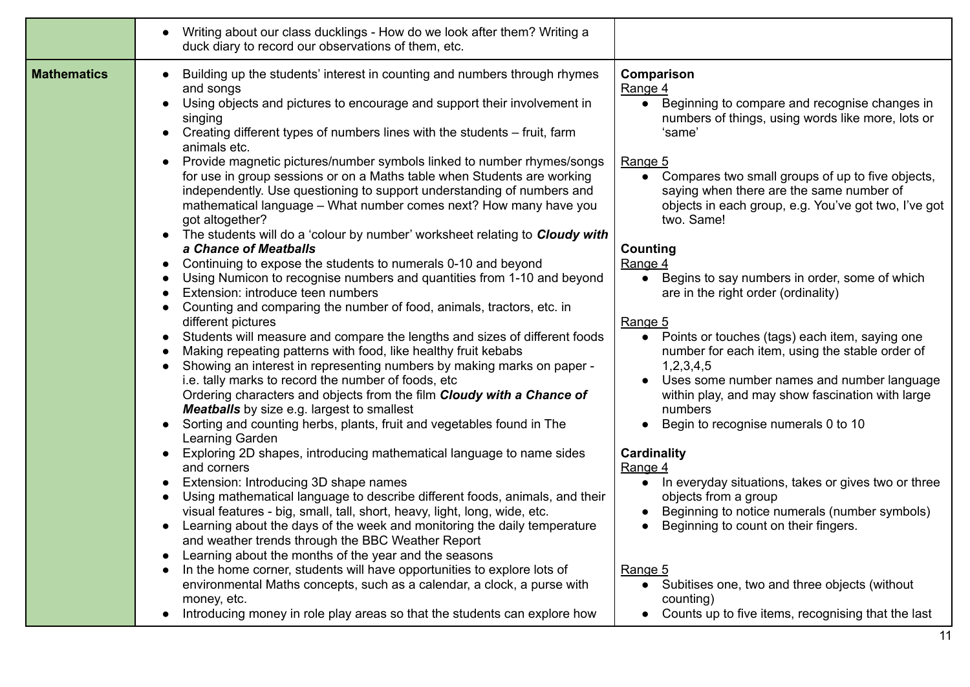|                    | Writing about our class ducklings - How do we look after them? Writing a<br>duck diary to record our observations of them, etc.                                                                                                                                                                                                                                                                                                                                                                                                                                                                                                                                                                                                                                                                                                                                                                                                                                                                                                                                                                                                                                                                                                                                                                                                                                                                                                                                                                                                                                                                                                                                                                                                                                                                                                                                                                                                                                                                                                                                                                                                                                                               |                                                                                                                                                                                                                                                                                                                                                                                                                                                                                                                                                                                                                                                                                                                                                                                                                                                                                                                                                                                                                                                 |
|--------------------|-----------------------------------------------------------------------------------------------------------------------------------------------------------------------------------------------------------------------------------------------------------------------------------------------------------------------------------------------------------------------------------------------------------------------------------------------------------------------------------------------------------------------------------------------------------------------------------------------------------------------------------------------------------------------------------------------------------------------------------------------------------------------------------------------------------------------------------------------------------------------------------------------------------------------------------------------------------------------------------------------------------------------------------------------------------------------------------------------------------------------------------------------------------------------------------------------------------------------------------------------------------------------------------------------------------------------------------------------------------------------------------------------------------------------------------------------------------------------------------------------------------------------------------------------------------------------------------------------------------------------------------------------------------------------------------------------------------------------------------------------------------------------------------------------------------------------------------------------------------------------------------------------------------------------------------------------------------------------------------------------------------------------------------------------------------------------------------------------------------------------------------------------------------------------------------------------|-------------------------------------------------------------------------------------------------------------------------------------------------------------------------------------------------------------------------------------------------------------------------------------------------------------------------------------------------------------------------------------------------------------------------------------------------------------------------------------------------------------------------------------------------------------------------------------------------------------------------------------------------------------------------------------------------------------------------------------------------------------------------------------------------------------------------------------------------------------------------------------------------------------------------------------------------------------------------------------------------------------------------------------------------|
| <b>Mathematics</b> | Building up the students' interest in counting and numbers through rhymes<br>and songs<br>Using objects and pictures to encourage and support their involvement in<br>singing<br>Creating different types of numbers lines with the students – fruit, farm<br>animals etc.<br>Provide magnetic pictures/number symbols linked to number rhymes/songs<br>for use in group sessions or on a Maths table when Students are working<br>independently. Use questioning to support understanding of numbers and<br>mathematical language - What number comes next? How many have you<br>got altogether?<br>The students will do a 'colour by number' worksheet relating to <b>Cloudy with</b><br>a Chance of Meatballs<br>Continuing to expose the students to numerals 0-10 and beyond<br>$\bullet$<br>Using Numicon to recognise numbers and quantities from 1-10 and beyond<br>Extension: introduce teen numbers<br>Counting and comparing the number of food, animals, tractors, etc. in<br>different pictures<br>Students will measure and compare the lengths and sizes of different foods<br>$\bullet$<br>Making repeating patterns with food, like healthy fruit kebabs<br>Showing an interest in representing numbers by making marks on paper -<br>i.e. tally marks to record the number of foods, etc<br>Ordering characters and objects from the film Cloudy with a Chance of<br><b>Meatballs</b> by size e.g. largest to smallest<br>Sorting and counting herbs, plants, fruit and vegetables found in The<br>Learning Garden<br>Exploring 2D shapes, introducing mathematical language to name sides<br>$\bullet$<br>and corners<br>Extension: Introducing 3D shape names<br>Using mathematical language to describe different foods, animals, and their<br>visual features - big, small, tall, short, heavy, light, long, wide, etc.<br>Learning about the days of the week and monitoring the daily temperature<br>and weather trends through the BBC Weather Report<br>Learning about the months of the year and the seasons<br>In the home corner, students will have opportunities to explore lots of<br>environmental Maths concepts, such as a calendar, a clock, a purse with | Comparison<br>Range 4<br>Beginning to compare and recognise changes in<br>$\bullet$<br>numbers of things, using words like more, lots or<br>'same'<br>Range 5<br>Compares two small groups of up to five objects,<br>$\bullet$<br>saying when there are the same number of<br>objects in each group, e.g. You've got two, I've got<br>two. Same!<br>Counting<br>Range 4<br>Begins to say numbers in order, some of which<br>are in the right order (ordinality)<br>Range 5<br>Points or touches (tags) each item, saying one<br>$\bullet$<br>number for each item, using the stable order of<br>1,2,3,4,5<br>Uses some number names and number language<br>within play, and may show fascination with large<br>numbers<br>Begin to recognise numerals 0 to 10<br><b>Cardinality</b><br>Range 4<br>In everyday situations, takes or gives two or three<br>objects from a group<br>Beginning to notice numerals (number symbols)<br>Beginning to count on their fingers.<br>Range 5<br>Subitises one, two and three objects (without<br>$\bullet$ |
|                    | money, etc.<br>Introducing money in role play areas so that the students can explore how                                                                                                                                                                                                                                                                                                                                                                                                                                                                                                                                                                                                                                                                                                                                                                                                                                                                                                                                                                                                                                                                                                                                                                                                                                                                                                                                                                                                                                                                                                                                                                                                                                                                                                                                                                                                                                                                                                                                                                                                                                                                                                      | counting)<br>Counts up to five items, recognising that the last                                                                                                                                                                                                                                                                                                                                                                                                                                                                                                                                                                                                                                                                                                                                                                                                                                                                                                                                                                                 |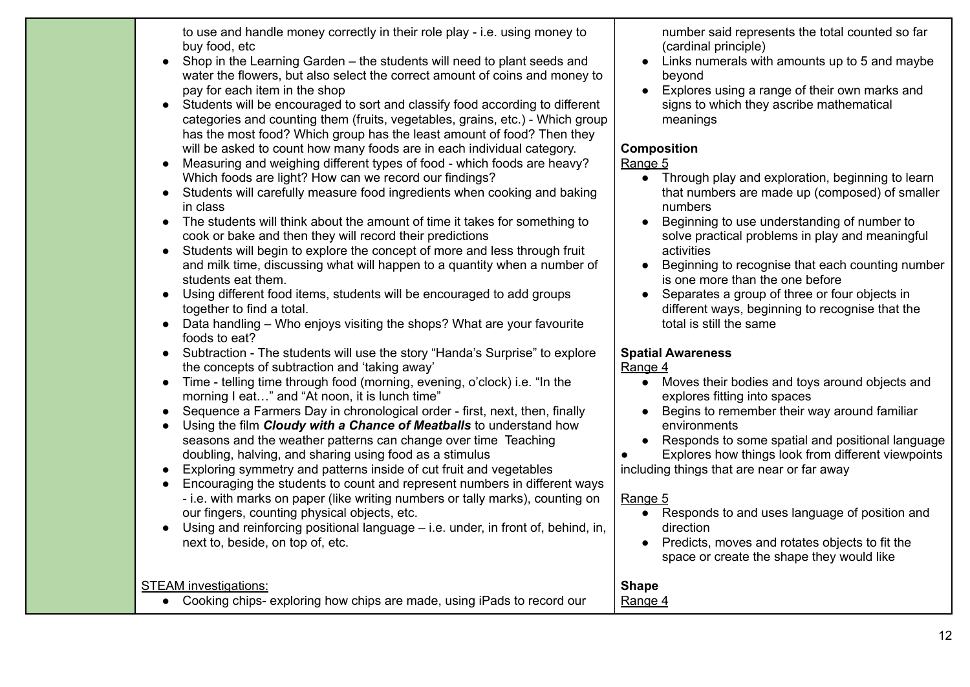to use and handle money correctly in their role play - i.e. using money to buy food, etc

- Shop in the Learning Garden the students will need to plant seeds and water the flowers, but also select the correct amount of coins and money to pay for each item in the shop
- Students will be encouraged to sort and classify food according to different categories and counting them (fruits, vegetables, grains, etc.) - Which group has the most food? Which group has the least amount of food? Then they will be asked to count how many foods are in each individual category.
- Measuring and weighing different types of food which foods are heavy? Which foods are light? How can we record our findings?
- Students will carefully measure food ingredients when cooking and baking in class
- The students will think about the amount of time it takes for something to cook or bake and then they will record their predictions
- Students will begin to explore the concept of more and less through fruit and milk time, discussing what will happen to a quantity when a number of students eat them.
- Using different food items, students will be encouraged to add groups together to find a total.
- Data handling Who enjoys visiting the shops? What are your favourite foods to eat?
- Subtraction The students will use the story "Handa's Surprise" to explore the concepts of subtraction and 'taking away'
- Time telling time through food (morning, evening, o'clock) i.e. "In the morning I eat…" and "At noon, it is lunch time"
- Sequence a Farmers Day in chronological order first, next, then, finally
- Using the film *Cloudy with a Chance of Meatballs* to understand how seasons and the weather patterns can change over time Teaching doubling, halving, and sharing using food as a stimulus
- Exploring symmetry and patterns inside of cut fruit and vegetables
- Encouraging the students to count and represent numbers in different ways - i.e. with marks on paper (like writing numbers or tally marks), counting on our fingers, counting physical objects, etc.
- $\bullet$  Using and reinforcing positional language i.e. under, in front of, behind, in, next to, beside, on top of, etc.

number said represents the total counted so far (cardinal principle)

- Links numerals with amounts up to 5 and maybe beyond
- Explores using a range of their own marks and signs to which they ascribe mathematical meanings

### **Composition**

#### Range 5

- Through play and exploration, beginning to learn that numbers are made up (composed) of smaller numbers
- Beginning to use understanding of number to solve practical problems in play and meaningful activities
- Beginning to recognise that each counting number is one more than the one before
- Separates a group of three or four objects in different ways, beginning to recognise that the total is still the same

### **Spatial Awareness**

### Range 4

- Moves their bodies and toys around objects and explores fitting into spaces
- Begins to remember their way around familiar environments
- Responds to some spatial and positional language

● Explores how things look from different viewpoints

including things that are near or far away

### Range 5

**Shape** Range 4

- Responds to and uses language of position and direction
- Predicts, moves and rotates objects to fit the space or create the shape they would like

# STEAM investigations:

● Cooking chips- exploring how chips are made, using iPads to record our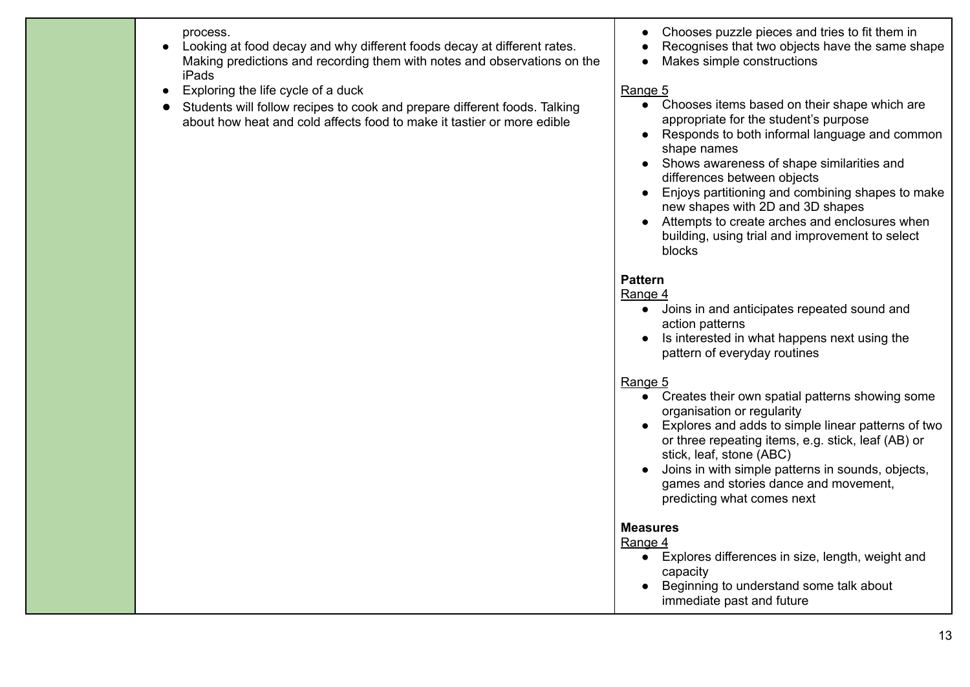process.

- Looking at food decay and why different foods decay at different rates. Making predictions and recording them with notes and observations on the iPads
- $\bullet$  Exploring the life cycle of a duck
- Students will follow recipes to cook and prepare different foods. Talking about how heat and cold affects food to make it tastier or more edible
- Chooses puzzle pieces and tries to fit them in
- Recognises that two objects have the same shape
- Makes simple constructions

### Range 5

- Chooses items based on their shape which are appropriate for the student's purpose
- Responds to both informal language and common shape names
- Shows awareness of shape similarities and differences between objects
- Enjoys partitioning and combining shapes to make new shapes with 2D and 3D shapes
- Attempts to create arches and enclosures when building, using trial and improvement to select blocks

# **Pattern**

#### Range 4

- Joins in and anticipates repeated sound and action patterns
- Is interested in what happens next using the pattern of everyday routines

# Range 5

- Creates their own spatial patterns showing some organisation or regularity
- Explores and adds to simple linear patterns of two or three repeating items, e.g. stick, leaf (AB) or stick, leaf, stone (ABC)
- Joins in with simple patterns in sounds, objects, games and stories dance and movement, predicting what comes next

# **Measures**

- Explores differences in size, length, weight and capacity
- Beginning to understand some talk about immediate past and future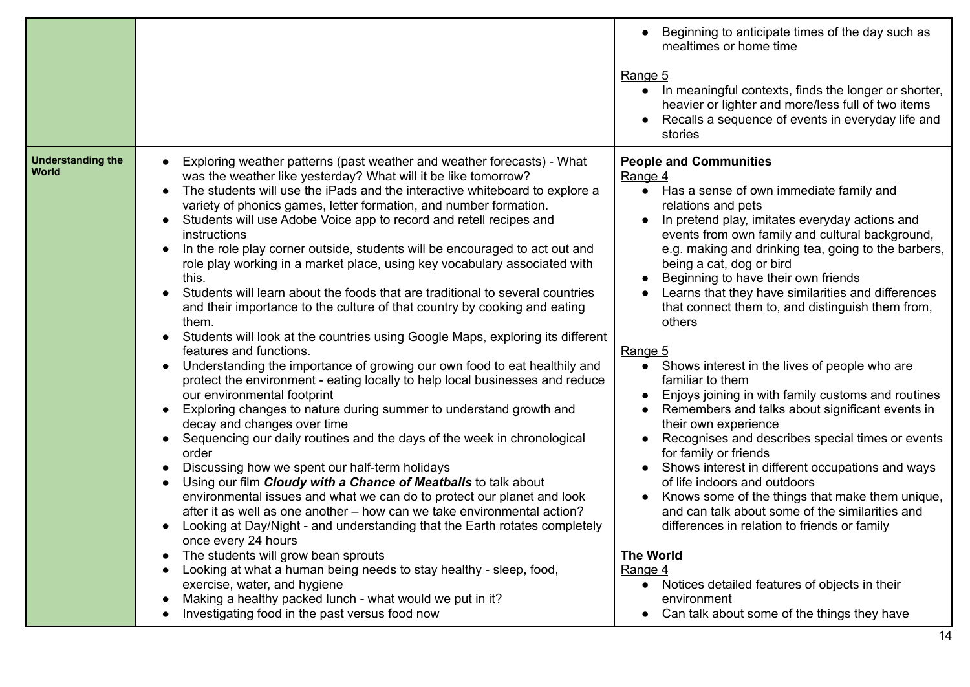|                                          |                                                                                                                                                                                                                                                                                                                                                                                                                                                                                                                                                                                                                                                                                                                                                                                                                                                                                                                                                                                                                                                                                                                                                                                                                                                                                                                                                                                                                                                                                                                                                                                                                                                                                                                                                                                                                                                                                          | Beginning to anticipate times of the day such as<br>mealtimes or home time<br>Range 5<br>• In meaningful contexts, finds the longer or shorter,<br>heavier or lighter and more/less full of two items<br>Recalls a sequence of events in everyday life and<br>stories                                                                                                                                                                                                                                                                                                                                                                                                                                                                                                                                                                                                                                                                                                                                                                                                                                                           |
|------------------------------------------|------------------------------------------------------------------------------------------------------------------------------------------------------------------------------------------------------------------------------------------------------------------------------------------------------------------------------------------------------------------------------------------------------------------------------------------------------------------------------------------------------------------------------------------------------------------------------------------------------------------------------------------------------------------------------------------------------------------------------------------------------------------------------------------------------------------------------------------------------------------------------------------------------------------------------------------------------------------------------------------------------------------------------------------------------------------------------------------------------------------------------------------------------------------------------------------------------------------------------------------------------------------------------------------------------------------------------------------------------------------------------------------------------------------------------------------------------------------------------------------------------------------------------------------------------------------------------------------------------------------------------------------------------------------------------------------------------------------------------------------------------------------------------------------------------------------------------------------------------------------------------------------|---------------------------------------------------------------------------------------------------------------------------------------------------------------------------------------------------------------------------------------------------------------------------------------------------------------------------------------------------------------------------------------------------------------------------------------------------------------------------------------------------------------------------------------------------------------------------------------------------------------------------------------------------------------------------------------------------------------------------------------------------------------------------------------------------------------------------------------------------------------------------------------------------------------------------------------------------------------------------------------------------------------------------------------------------------------------------------------------------------------------------------|
| <b>Understanding the</b><br><b>World</b> | Exploring weather patterns (past weather and weather forecasts) - What<br>was the weather like yesterday? What will it be like tomorrow?<br>The students will use the iPads and the interactive whiteboard to explore a<br>variety of phonics games, letter formation, and number formation.<br>Students will use Adobe Voice app to record and retell recipes and<br>$\bullet$<br>instructions<br>In the role play corner outside, students will be encouraged to act out and<br>role play working in a market place, using key vocabulary associated with<br>this.<br>Students will learn about the foods that are traditional to several countries<br>and their importance to the culture of that country by cooking and eating<br>them.<br>Students will look at the countries using Google Maps, exploring its different<br>$\bullet$<br>features and functions.<br>Understanding the importance of growing our own food to eat healthily and<br>$\bullet$<br>protect the environment - eating locally to help local businesses and reduce<br>our environmental footprint<br>Exploring changes to nature during summer to understand growth and<br>$\bullet$<br>decay and changes over time<br>Sequencing our daily routines and the days of the week in chronological<br>$\bullet$<br>order<br>Discussing how we spent our half-term holidays<br>Using our film Cloudy with a Chance of Meatballs to talk about<br>environmental issues and what we can do to protect our planet and look<br>after it as well as one another – how can we take environmental action?<br>Looking at Day/Night - and understanding that the Earth rotates completely<br>once every 24 hours<br>The students will grow bean sprouts<br>Looking at what a human being needs to stay healthy - sleep, food,<br>exercise, water, and hygiene<br>Making a healthy packed lunch - what would we put in it? | <b>People and Communities</b><br>Range 4<br>• Has a sense of own immediate family and<br>relations and pets<br>In pretend play, imitates everyday actions and<br>$\bullet$<br>events from own family and cultural background,<br>e.g. making and drinking tea, going to the barbers,<br>being a cat, dog or bird<br>Beginning to have their own friends<br>Learns that they have similarities and differences<br>that connect them to, and distinguish them from,<br>others<br>Range 5<br>Shows interest in the lives of people who are<br>$\bullet$<br>familiar to them<br>Enjoys joining in with family customs and routines<br>Remembers and talks about significant events in<br>their own experience<br>Recognises and describes special times or events<br>for family or friends<br>Shows interest in different occupations and ways<br>of life indoors and outdoors<br>Knows some of the things that make them unique,<br>and can talk about some of the similarities and<br>differences in relation to friends or family<br><b>The World</b><br>Range 4<br>Notices detailed features of objects in their<br>environment |
|                                          | Investigating food in the past versus food now                                                                                                                                                                                                                                                                                                                                                                                                                                                                                                                                                                                                                                                                                                                                                                                                                                                                                                                                                                                                                                                                                                                                                                                                                                                                                                                                                                                                                                                                                                                                                                                                                                                                                                                                                                                                                                           | Can talk about some of the things they have<br>$\bullet$                                                                                                                                                                                                                                                                                                                                                                                                                                                                                                                                                                                                                                                                                                                                                                                                                                                                                                                                                                                                                                                                        |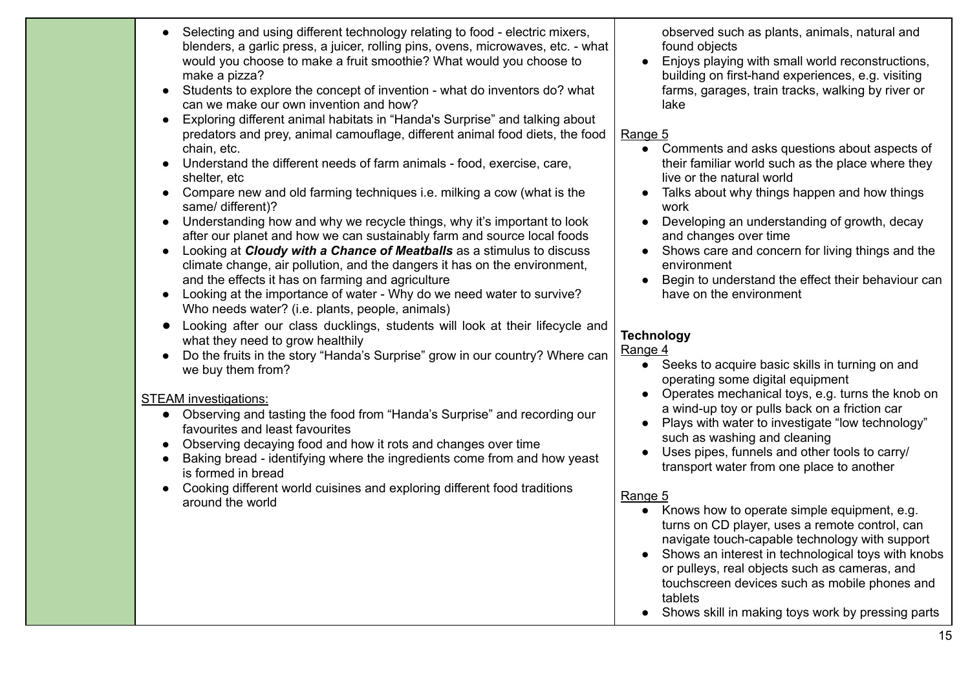| Selecting and using different technology relating to food - electric mixers,<br>blenders, a garlic press, a juicer, rolling pins, ovens, microwaves, etc. - what<br>would you choose to make a fruit smoothie? What would you choose to<br>make a pizza?<br>Students to explore the concept of invention - what do inventors do? what<br>can we make our own invention and how?<br>Exploring different animal habitats in "Handa's Surprise" and talking about<br>predators and prey, animal camouflage, different animal food diets, the food<br>chain, etc.<br>Understand the different needs of farm animals - food, exercise, care,<br>shelter, etc<br>Compare new and old farming techniques i.e. milking a cow (what is the<br>same/ different)?<br>Understanding how and why we recycle things, why it's important to look<br>$\bullet$<br>after our planet and how we can sustainably farm and source local foods<br>Looking at Cloudy with a Chance of Meatballs as a stimulus to discuss<br>climate change, air pollution, and the dangers it has on the environment,<br>and the effects it has on farming and agriculture<br>Looking at the importance of water - Why do we need water to survive?<br>Who needs water? (i.e. plants, people, animals)<br>Looking after our class ducklings, students will look at their lifecycle and<br>what they need to grow healthily<br>Do the fruits in the story "Handa's Surprise" grow in our country? Where can<br>we buy them from?<br><b>STEAM</b> investigations:<br>Observing and tasting the food from "Handa's Surprise" and recording our<br>$\bullet$<br>favourites and least favourites<br>Observing decaying food and how it rots and changes over time<br>Baking bread - identifying where the ingredients come from and how yeast<br>is formed in bread<br>Cooking different world cuisines and exploring different food traditions<br>around the world | observed such as plants, animals, natural and<br>found objects<br>Enjoys playing with small world reconstructions,<br>$\bullet$<br>building on first-hand experiences, e.g. visiting<br>farms, garages, train tracks, walking by river or<br>lake<br>Range 5<br>Comments and asks questions about aspects of<br>their familiar world such as the place where they<br>live or the natural world<br>Talks about why things happen and how things<br>$\bullet$<br>work<br>Developing an understanding of growth, decay<br>$\bullet$<br>and changes over time<br>Shows care and concern for living things and the<br>environment<br>Begin to understand the effect their behaviour can<br>have on the environment<br><b>Technology</b><br>Range 4<br>Seeks to acquire basic skills in turning on and<br>operating some digital equipment<br>Operates mechanical toys, e.g. turns the knob on<br>$\bullet$<br>a wind-up toy or pulls back on a friction car<br>Plays with water to investigate "low technology"<br>such as washing and cleaning<br>Uses pipes, funnels and other tools to carry/<br>transport water from one place to another<br>Range 5<br>Knows how to operate simple equipment, e.g.<br>turns on CD player, uses a remote control, can<br>navigate touch-capable technology with support<br>Shows an interest in technological toys with knobs<br>or pulleys, real objects such as cameras, and<br>touchscreen devices such as mobile phones and |
|--------------------------------------------------------------------------------------------------------------------------------------------------------------------------------------------------------------------------------------------------------------------------------------------------------------------------------------------------------------------------------------------------------------------------------------------------------------------------------------------------------------------------------------------------------------------------------------------------------------------------------------------------------------------------------------------------------------------------------------------------------------------------------------------------------------------------------------------------------------------------------------------------------------------------------------------------------------------------------------------------------------------------------------------------------------------------------------------------------------------------------------------------------------------------------------------------------------------------------------------------------------------------------------------------------------------------------------------------------------------------------------------------------------------------------------------------------------------------------------------------------------------------------------------------------------------------------------------------------------------------------------------------------------------------------------------------------------------------------------------------------------------------------------------------------------------------------------------------------------------------------------------------------------------------|----------------------------------------------------------------------------------------------------------------------------------------------------------------------------------------------------------------------------------------------------------------------------------------------------------------------------------------------------------------------------------------------------------------------------------------------------------------------------------------------------------------------------------------------------------------------------------------------------------------------------------------------------------------------------------------------------------------------------------------------------------------------------------------------------------------------------------------------------------------------------------------------------------------------------------------------------------------------------------------------------------------------------------------------------------------------------------------------------------------------------------------------------------------------------------------------------------------------------------------------------------------------------------------------------------------------------------------------------------------------------------------------------------------------------------------------------------------|
|                                                                                                                                                                                                                                                                                                                                                                                                                                                                                                                                                                                                                                                                                                                                                                                                                                                                                                                                                                                                                                                                                                                                                                                                                                                                                                                                                                                                                                                                                                                                                                                                                                                                                                                                                                                                                                                                                                                          | tablets<br>Shows skill in making toys work by pressing parts                                                                                                                                                                                                                                                                                                                                                                                                                                                                                                                                                                                                                                                                                                                                                                                                                                                                                                                                                                                                                                                                                                                                                                                                                                                                                                                                                                                                   |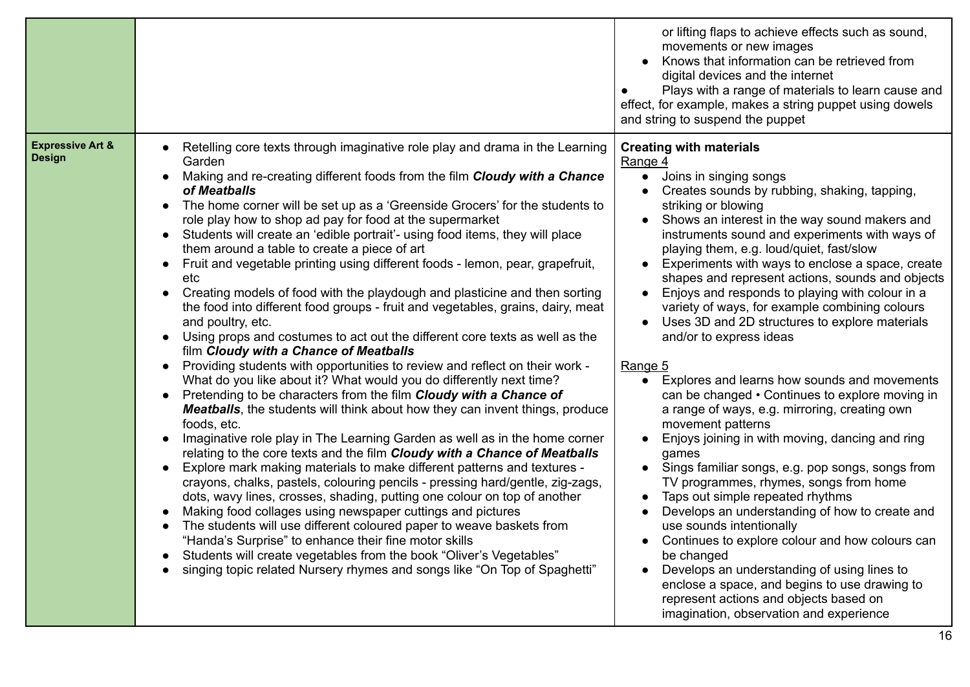|                                                                                                                                                                                                                                                                                                                                                                                                                                                                                                                                                                                                                                                                                                                                                                                                                                                                                                                                                                                                                                                                                                                                                                                                                                                                                                                                                                                                                                                                                                                                                                                                                                                                                                                                                                                                                                                                                                                                                                                                                                                                                                          | movements or new images<br>Knows that information can be retrieved from<br>$\bullet$<br>digital devices and the internet<br>Plays with a range of materials to learn cause and<br>effect, for example, makes a string puppet using dowels<br>and string to suspend the puppet                                                                                                                                                                                                                                                                                                                                                                                                                                                                                                                                                                                                                                                                                                                                                                                                                                                                                                                                                                                                                                                                                                           |
|----------------------------------------------------------------------------------------------------------------------------------------------------------------------------------------------------------------------------------------------------------------------------------------------------------------------------------------------------------------------------------------------------------------------------------------------------------------------------------------------------------------------------------------------------------------------------------------------------------------------------------------------------------------------------------------------------------------------------------------------------------------------------------------------------------------------------------------------------------------------------------------------------------------------------------------------------------------------------------------------------------------------------------------------------------------------------------------------------------------------------------------------------------------------------------------------------------------------------------------------------------------------------------------------------------------------------------------------------------------------------------------------------------------------------------------------------------------------------------------------------------------------------------------------------------------------------------------------------------------------------------------------------------------------------------------------------------------------------------------------------------------------------------------------------------------------------------------------------------------------------------------------------------------------------------------------------------------------------------------------------------------------------------------------------------------------------------------------------------|-----------------------------------------------------------------------------------------------------------------------------------------------------------------------------------------------------------------------------------------------------------------------------------------------------------------------------------------------------------------------------------------------------------------------------------------------------------------------------------------------------------------------------------------------------------------------------------------------------------------------------------------------------------------------------------------------------------------------------------------------------------------------------------------------------------------------------------------------------------------------------------------------------------------------------------------------------------------------------------------------------------------------------------------------------------------------------------------------------------------------------------------------------------------------------------------------------------------------------------------------------------------------------------------------------------------------------------------------------------------------------------------|
| <b>Expressive Art &amp;</b><br>Retelling core texts through imaginative role play and drama in the Learning<br><b>Design</b><br>Garden<br>Making and re-creating different foods from the film Cloudy with a Chance<br>of Meatballs<br>The home corner will be set up as a 'Greenside Grocers' for the students to<br>$\bullet$<br>role play how to shop ad pay for food at the supermarket<br>Students will create an 'edible portrait'- using food items, they will place<br>$\bullet$<br>them around a table to create a piece of art<br>Fruit and vegetable printing using different foods - lemon, pear, grapefruit,<br>$\bullet$<br>etc<br>Creating models of food with the playdough and plasticine and then sorting<br>the food into different food groups - fruit and vegetables, grains, dairy, meat<br>and poultry, etc.<br>Using props and costumes to act out the different core texts as well as the<br>film Cloudy with a Chance of Meatballs<br>Providing students with opportunities to review and reflect on their work -<br>$\bullet$<br>What do you like about it? What would you do differently next time?<br>Pretending to be characters from the film Cloudy with a Chance of<br>$\bullet$<br><b>Meatballs</b> , the students will think about how they can invent things, produce<br>foods, etc.<br>Imaginative role play in The Learning Garden as well as in the home corner<br>relating to the core texts and the film Cloudy with a Chance of Meatballs<br>Explore mark making materials to make different patterns and textures -<br>$\bullet$<br>crayons, chalks, pastels, colouring pencils - pressing hard/gentle, zig-zags,<br>dots, wavy lines, crosses, shading, putting one colour on top of another<br>Making food collages using newspaper cuttings and pictures<br>The students will use different coloured paper to weave baskets from<br>$\bullet$<br>"Handa's Surprise" to enhance their fine motor skills<br>Students will create vegetables from the book "Oliver's Vegetables"<br>singing topic related Nursery rhymes and songs like "On Top of Spaghetti" | <b>Creating with materials</b><br>Range 4<br>Joins in singing songs<br>$\bullet$<br>Creates sounds by rubbing, shaking, tapping,<br>striking or blowing<br>Shows an interest in the way sound makers and<br>instruments sound and experiments with ways of<br>playing them, e.g. loud/quiet, fast/slow<br>Experiments with ways to enclose a space, create<br>$\bullet$<br>shapes and represent actions, sounds and objects<br>Enjoys and responds to playing with colour in a<br>$\bullet$<br>variety of ways, for example combining colours<br>Uses 3D and 2D structures to explore materials<br>and/or to express ideas<br>Range 5<br>Explores and learns how sounds and movements<br>$\bullet$<br>can be changed • Continues to explore moving in<br>a range of ways, e.g. mirroring, creating own<br>movement patterns<br>Enjoys joining in with moving, dancing and ring<br>games<br>Sings familiar songs, e.g. pop songs, songs from<br>$\bullet$<br>TV programmes, rhymes, songs from home<br>Taps out simple repeated rhythms<br>$\bullet$<br>Develops an understanding of how to create and<br>use sounds intentionally<br>Continues to explore colour and how colours can<br>be changed<br>Develops an understanding of using lines to<br>enclose a space, and begins to use drawing to<br>represent actions and objects based on<br>imagination, observation and experience |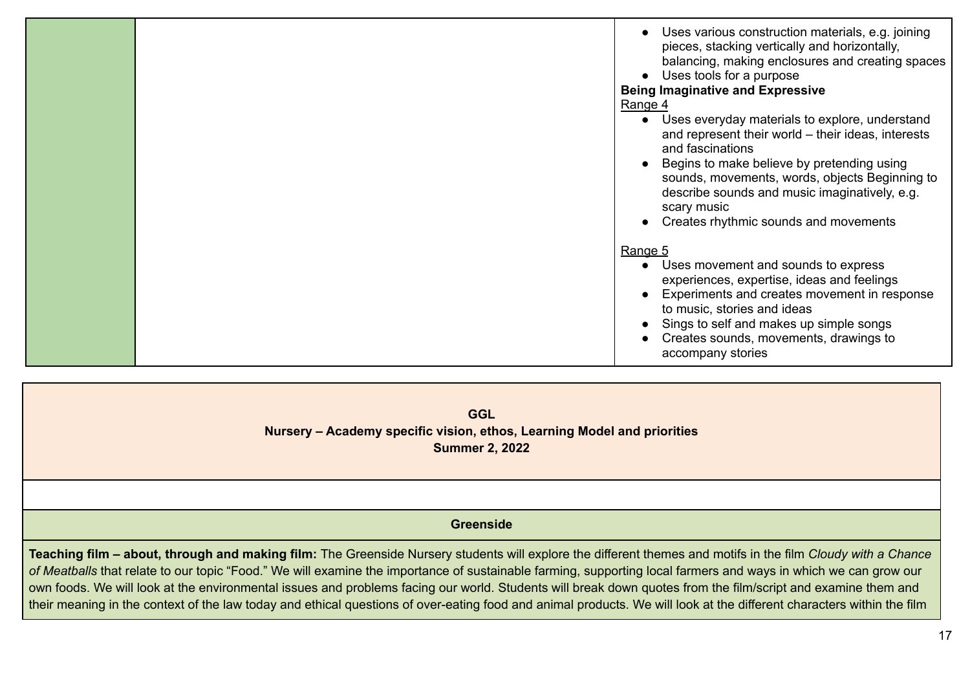|  | Uses various construction materials, e.g. joining<br>pieces, stacking vertically and horizontally,<br>balancing, making enclosures and creating spaces<br>Uses tools for a purpose<br><b>Being Imaginative and Expressive</b><br>Range 4                                                                                            |
|--|-------------------------------------------------------------------------------------------------------------------------------------------------------------------------------------------------------------------------------------------------------------------------------------------------------------------------------------|
|  | • Uses everyday materials to explore, understand<br>and represent their world – their ideas, interests<br>and fascinations<br>Begins to make believe by pretending using<br>sounds, movements, words, objects Beginning to<br>describe sounds and music imaginatively, e.g.<br>scary music<br>Creates rhythmic sounds and movements |
|  | Range 5<br>Uses movement and sounds to express<br>experiences, expertise, ideas and feelings<br>Experiments and creates movement in response<br>to music, stories and ideas<br>Sings to self and makes up simple songs<br>Creates sounds, movements, drawings to<br>accompany stories                                               |

**GGL Nursery – Academy specific vision, ethos, Learning Model and priorities Summer 2, 2022**

#### **Greenside**

Teaching film – about, through and making film: The Greenside Nursery students will explore the different themes and motifs in the film Cloudy with a Chance *of Meatballs* that relate to our topic "Food." We will examine the importance of sustainable farming, supporting local farmers and ways in which we can grow our own foods. We will look at the environmental issues and problems facing our world. Students will break down quotes from the film/script and examine them and their meaning in the context of the law today and ethical questions of over-eating food and animal products. We will look at the different characters within the film